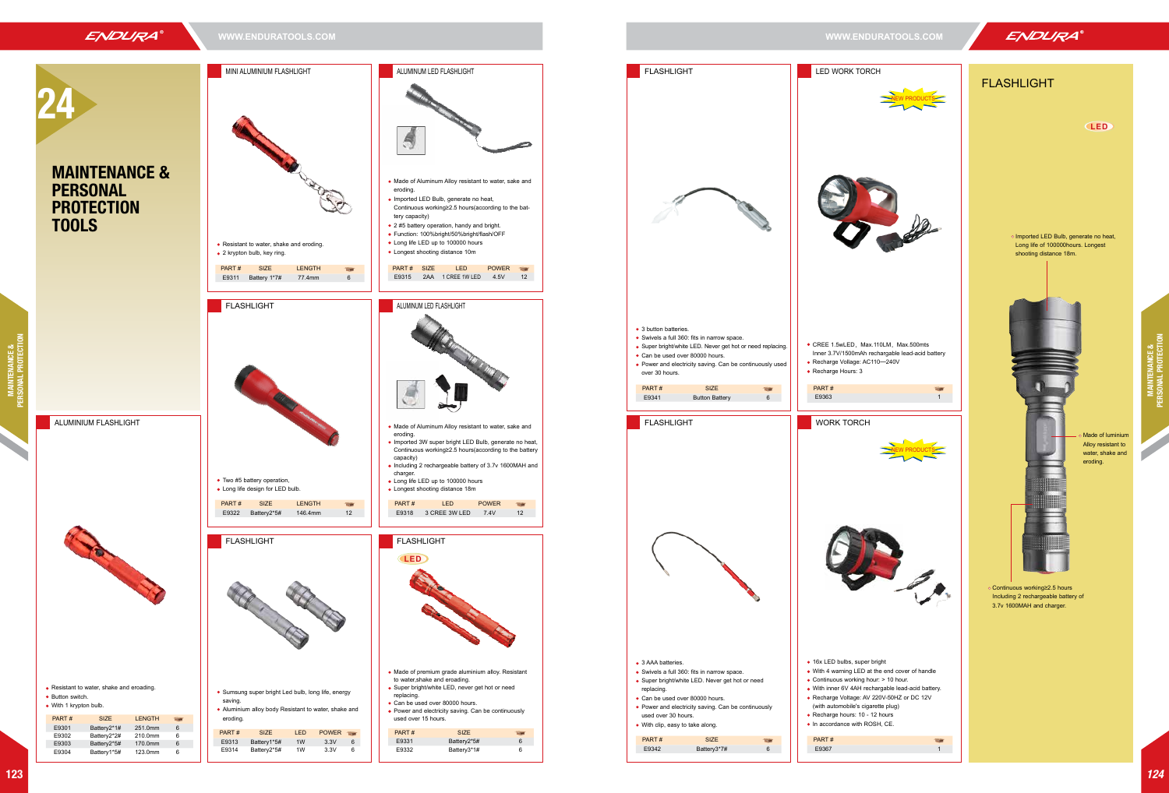MINI ALUMINIUM FLASHLIGHT

o Imported LED Bulb, generate no heat, Long life of 100000hours. Longest shooting distance 18m.

| <b>MARCHER</b>                                                                                                                                                                                                                                                                                                                                            |  |  |  |
|-----------------------------------------------------------------------------------------------------------------------------------------------------------------------------------------------------------------------------------------------------------------------------------------------------------------------------------------------------------|--|--|--|
|                                                                                                                                                                                                                                                                                                                                                           |  |  |  |
| . Made of Aluminum Alloy resistant to water, sake and<br>eroding.<br>. Imported LED Bulb, generate no heat,<br>Continuous working≥2.5 hours(according to the bat-<br>tery capacity)<br>• 2 #5 battery operation, handy and bright.<br>· Function: 100%bright/50%bright/flash/OFF<br>• Long life LED up to 100000 hours<br>• Longest shooting distance 10m |  |  |  |
| PART#<br><b>SIZE</b><br><b>POWER</b><br><b>LED</b><br><b>The Second</b><br>1 CREE 1W LED<br>12<br>E9315<br>2AA<br>4.5V                                                                                                                                                                                                                                    |  |  |  |
| ALUMINUM LED FLASHLIGHT                                                                                                                                                                                                                                                                                                                                   |  |  |  |
|                                                                                                                                                                                                                                                                                                                                                           |  |  |  |
| . Made of Aluminum Alloy resistant to water, sake and<br>eroding.<br>. Imported 3W super bright LED Bulb, generate no heat,<br>Continuous working≥2.5 hours(according to the battery<br>capacity)<br>• Including 2 rechargeable battery of 3.7v 1600MAH and<br>charger.<br>• Long life LED up to 100000 hours<br>• Longest shooting distance 18m          |  |  |  |
| PART#<br><b>POWER</b><br><b>LED</b><br>E9318<br>3 CREE 3W LED<br>7.4V<br>12                                                                                                                                                                                                                                                                               |  |  |  |
| FLASHLIGHT<br><b>CLED</b>                                                                                                                                                                                                                                                                                                                                 |  |  |  |
| • Made of premium grade aluminium alloy. Resistant<br>to water, shake and eroading.<br>· Super bright/white LED, never get hot or need<br>replacing.<br>· Can be used over 80000 hours.<br>• Power and electricity saving. Can be continuously<br>used over 15 hours.                                                                                     |  |  |  |
|                                                                                                                                                                                                                                                                                                                                                           |  |  |  |
| PART#<br><b>SIZE</b>                                                                                                                                                                                                                                                                                                                                      |  |  |  |
| E9331<br>Battery2*5#<br>6<br>Battery3*1#<br>E9332<br>6                                                                                                                                                                                                                                                                                                    |  |  |  |





## FLASHLIGHT

Continuous working≥2.5 hours Including 2 rechargeable battery of 3.7v 1600MAH and charger.

Made of luminium Alloy resistant to water, shake and eroding.

**LED**